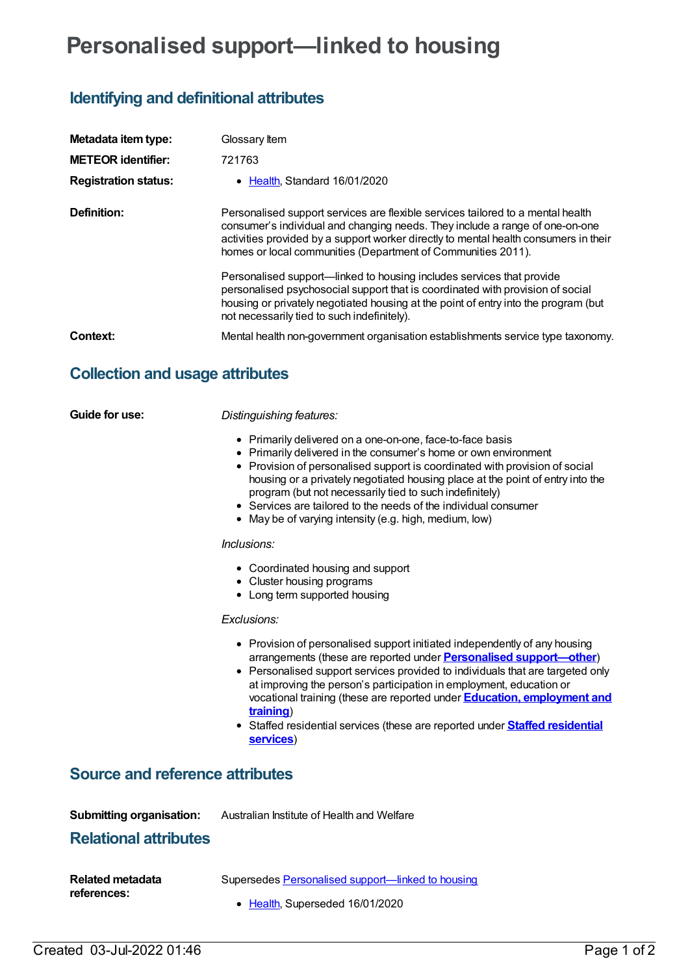# **Personalised support—linked to housing**

# **Identifying and definitional attributes**

| Metadata item type:<br><b>METEOR identifier:</b><br><b>Registration status:</b> | Glossary Item<br>721763<br>• Health Standard 16/01/2020                                                                                                                                                                                                                                                                                                                                                                                                                                                                                                                   |
|---------------------------------------------------------------------------------|---------------------------------------------------------------------------------------------------------------------------------------------------------------------------------------------------------------------------------------------------------------------------------------------------------------------------------------------------------------------------------------------------------------------------------------------------------------------------------------------------------------------------------------------------------------------------|
| Definition:                                                                     | Personalised support services are flexible services tailored to a mental health<br>consumer's individual and changing needs. They include a range of one-on-one<br>activities provided by a support worker directly to mental health consumers in their<br>homes or local communities (Department of Communities 2011).<br>Personalised support—linked to housing includes services that provide<br>personalised psychosocial support that is coordinated with provision of social<br>housing or privately negotiated housing at the point of entry into the program (but |
| Context:                                                                        | not necessarily tied to such indefinitely).<br>Mental health non-government organisation establishments service type taxonomy.                                                                                                                                                                                                                                                                                                                                                                                                                                            |

# **Collection and usage attributes**

**Guide for use:** *Distinguishing features:*

- Primarily delivered on a one-on-one, face-to-face basis
- Primarily delivered in the consumer's home or own environment
- Provision of personalised support is coordinated with provision of social housing or a privately negotiated housing place at the point of entry into the program (but not necessarily tied to such indefinitely)
- Services are tailored to the needs of the individual consumer
- May be of varying intensity (e.g. high, medium, low)

#### *Inclusions:*

- Coordinated housing and support
- Cluster housing programs
- Long term supported housing

#### *Exclusions:*

- Provision of personalised support initiated independently of any housing arrangements (these are reported under **Personalised [support—other](https://meteor.aihw.gov.au/content/721765)**)
- Personalised support services provided to individuals that are targeted only at improving the person's participation in employment, education or vocational training (these are reported under **Education, [employment](https://meteor.aihw.gov.au/content/721777) and training**)
- Staffed residential services (these are reported under **Staffed [residential](https://meteor.aihw.gov.au/content/721761) services**)

### **Source and reference attributes**

**Submitting organisation:** Australian Institute of Health and Welfare

## **Relational attributes**

| <b>Related metadata</b> | Supersedes Personalised support—linked to housing |
|-------------------------|---------------------------------------------------|
| references:             | • Health, Superseded 16/01/2020                   |